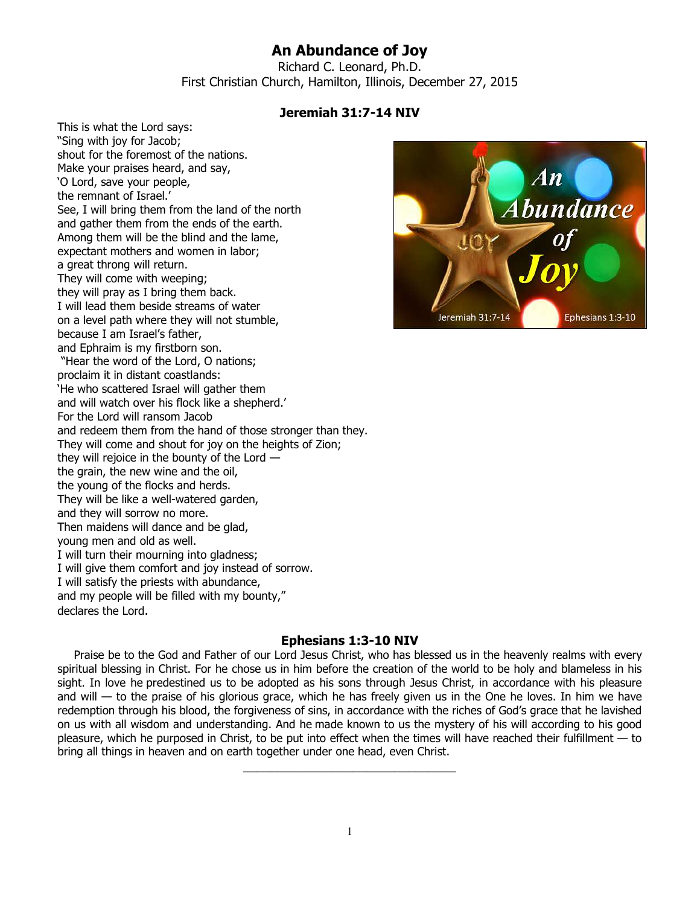## **An Abundance of Joy**

Richard C. Leonard, Ph.D. First Christian Church, Hamilton, Illinois, December 27, 2015

## **Jeremiah 31:7-14 NIV**

This is what the Lord says: "Sing with joy for Jacob; shout for the foremost of the nations. Make your praises heard, and say, 'O Lord, save your people, the remnant of Israel.' See, I will bring them from the land of the north and gather them from the ends of the earth. Among them will be the blind and the lame, expectant mothers and women in labor; a great throng will return. They will come with weeping; they will pray as I bring them back. I will lead them beside streams of water on a level path where they will not stumble, because I am Israel's father, and Ephraim is my firstborn son. "Hear the word of the Lord, O nations; proclaim it in distant coastlands: 'He who scattered Israel will gather them and will watch over his flock like a shepherd.' For the Lord will ransom Jacob and redeem them from the hand of those stronger than they. They will come and shout for joy on the heights of Zion; they will rejoice in the bounty of the Lord the grain, the new wine and the oil, the young of the flocks and herds. They will be like a well-watered garden, and they will sorrow no more. Then maidens will dance and be glad, young men and old as well. I will turn their mourning into gladness; I will give them comfort and joy instead of sorrow. I will satisfy the priests with abundance, and my people will be filled with my bounty," declares the Lord.



## **Ephesians 1:3-10 NIV**

Praise be to the God and Father of our Lord Jesus Christ, who has blessed us in the heavenly realms with every spiritual blessing in Christ. For he chose us in him before the creation of the world to be holy and blameless in his sight. In love he predestined us to be adopted as his sons through Jesus Christ, in accordance with his pleasure and will — to the praise of his glorious grace, which he has freely given us in the One he loves. In him we have redemption through his blood, the forgiveness of sins, in accordance with the riches of God's grace that he lavished on us with all wisdom and understanding. And he made known to us the mystery of his will according to his good pleasure, which he purposed in Christ, to be put into effect when the times will have reached their fulfillment — to bring all things in heaven and on earth together under one head, even Christ.

\_\_\_\_\_\_\_\_\_\_\_\_\_\_\_\_\_\_\_\_\_\_\_\_\_\_\_\_\_\_\_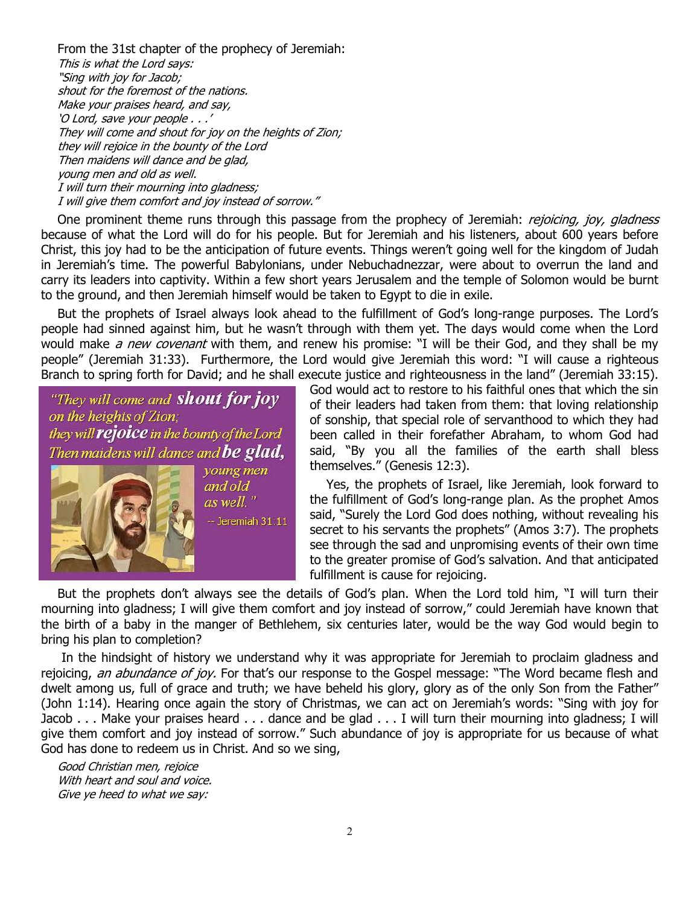From the 31st chapter of the prophecy of Jeremiah: This is what the Lord says: "Sing with joy for Jacob; shout for the foremost of the nations. Make your praises heard, and say, 'O Lord, save your people . . .' They will come and shout for joy on the heights of Zion; they will rejoice in the bounty of the Lord Then maidens will dance and be glad, young men and old as well. I will turn their mourning into gladness; I will give them comfort and joy instead of sorrow."

One prominent theme runs through this passage from the prophecy of Jeremiah: *rejoicing, joy, gladness* because of what the Lord will do for his people. But for Jeremiah and his listeners, about 600 years before Christ, this joy had to be the anticipation of future events. Things weren't going well for the kingdom of Judah in Jeremiah's time. The powerful Babylonians, under Nebuchadnezzar, were about to overrun the land and carry its leaders into captivity. Within a few short years Jerusalem and the temple of Solomon would be burnt to the ground, and then Jeremiah himself would be taken to Egypt to die in exile.

But the prophets of Israel always look ahead to the fulfillment of God's long-range purposes. The Lord's people had sinned against him, but he wasn't through with them yet. The days would come when the Lord would make *a new covenant* with them, and renew his promise: "I will be their God, and they shall be my people" (Jeremiah 31:33). Furthermore, the Lord would give Jeremiah this word: "I will cause a righteous Branch to spring forth for David; and he shall execute justice and righteousness in the land" (Jeremiah 33:15).

"They will come and **shout for joy** on the heights of Zion; they will **rejoice** in the bounty of the Lord Then maidens will dance and **be glad**,



God would act to restore to his faithful ones that which the sin of their leaders had taken from them: that loving relationship of sonship, that special role of servanthood to which they had been called in their forefather Abraham, to whom God had said, "By you all the families of the earth shall bless themselves." (Genesis 12:3).

Yes, the prophets of Israel, like Jeremiah, look forward to the fulfillment of God's long-range plan. As the prophet Amos said, "Surely the Lord God does nothing, without revealing his secret to his servants the prophets" (Amos 3:7). The prophets see through the sad and unpromising events of their own time to the greater promise of God's salvation. And that anticipated fulfillment is cause for rejoicing.

But the prophets don't always see the details of God's plan. When the Lord told him, "I will turn their mourning into gladness; I will give them comfort and joy instead of sorrow," could Jeremiah have known that the birth of a baby in the manger of Bethlehem, six centuries later, would be the way God would begin to bring his plan to completion?

 In the hindsight of history we understand why it was appropriate for Jeremiah to proclaim gladness and rejoicing, an abundance of joy. For that's our response to the Gospel message: "The Word became flesh and dwelt among us, full of grace and truth; we have beheld his glory, glory as of the only Son from the Father" (John 1:14). Hearing once again the story of Christmas, we can act on Jeremiah's words: "Sing with joy for Jacob . . . Make your praises heard . . . dance and be glad . . . I will turn their mourning into gladness; I will give them comfort and joy instead of sorrow." Such abundance of joy is appropriate for us because of what God has done to redeem us in Christ. And so we sing,

Good Christian men, rejoice With heart and soul and voice. Give ye heed to what we say: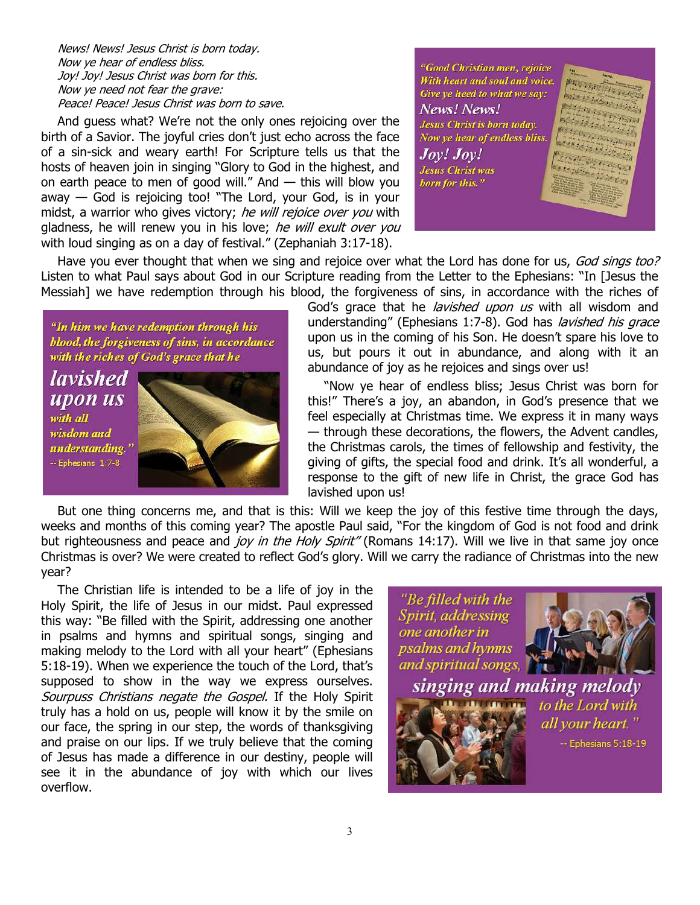News! News! Jesus Christ is born today. Now ye hear of endless bliss. Joy! Joy! Jesus Christ was born for this. Now ye need not fear the grave: Peace! Peace! Jesus Christ was born to save.

And guess what? We're not the only ones rejoicing over the birth of a Savior. The joyful cries don't just echo across the face of a sin-sick and weary earth! For Scripture tells us that the hosts of heaven join in singing "Glory to God in the highest, and on earth peace to men of good will." And — this will blow you away — God is rejoicing too! "The Lord, your God, is in your midst, a warrior who gives victory; he will rejoice over you with gladness, he will renew you in his love; he will exult over you with loud singing as on a day of festival." (Zephaniah 3:17-18).



Have you ever thought that when we sing and rejoice over what the Lord has done for us, God sings too? Listen to what Paul says about God in our Scripture reading from the Letter to the Ephesians: "In [Jesus the Messiah] we have redemption through his blood, the forgiveness of sins, in accordance with the riches of

"In him we have redemption through his blood, the forgiveness of sins, in accordance with the riches of God's grace that he

*lavished* upon us with all wisdom and understanding."  $-$  Ephesians  $1:7-8$ 



God's grace that he *lavished upon us* with all wisdom and understanding" (Ephesians 1:7-8). God has *lavished his grace* upon us in the coming of his Son. He doesn't spare his love to us, but pours it out in abundance, and along with it an abundance of joy as he rejoices and sings over us!

"Now ye hear of endless bliss; Jesus Christ was born for this!" There's a joy, an abandon, in God's presence that we feel especially at Christmas time. We express it in many ways — through these decorations, the flowers, the Advent candles, the Christmas carols, the times of fellowship and festivity, the giving of gifts, the special food and drink. It's all wonderful, a response to the gift of new life in Christ, the grace God has lavished upon us!

But one thing concerns me, and that is this: Will we keep the joy of this festive time through the days, weeks and months of this coming year? The apostle Paul said, "For the kingdom of God is not food and drink but righteousness and peace and joy in the Holy Spirit" (Romans 14:17). Will we live in that same joy once Christmas is over? We were created to reflect God's glory. Will we carry the radiance of Christmas into the new year?

The Christian life is intended to be a life of joy in the Holy Spirit, the life of Jesus in our midst. Paul expressed this way: "Be filled with the Spirit, addressing one another in psalms and hymns and spiritual songs, singing and making melody to the Lord with all your heart" (Ephesians 5:18-19). When we experience the touch of the Lord, that's supposed to show in the way we express ourselves. Sourpuss Christians negate the Gospel. If the Holy Spirit truly has a hold on us, people will know it by the smile on our face, the spring in our step, the words of thanksgiving and praise on our lips. If we truly believe that the coming of Jesus has made a difference in our destiny, people will see it in the abundance of joy with which our lives overflow.

"Be filled with the Spirit, addressing one another in *psalms and hymns* and spiritual songs,



singing and making melody



to the Lord with all your heart."

 $-$  Ephesians  $5:18-19$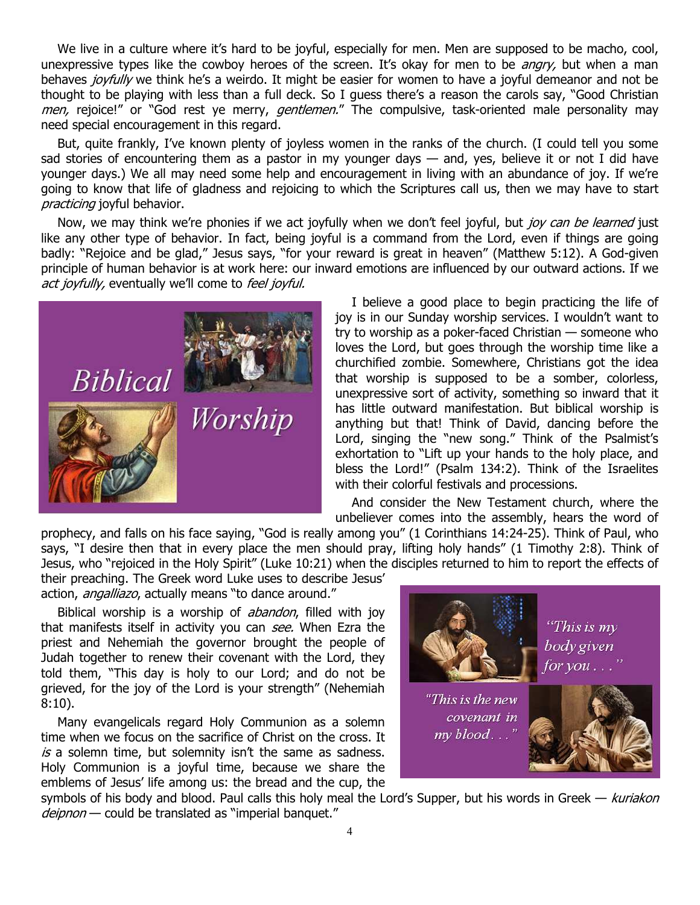We live in a culture where it's hard to be joyful, especially for men. Men are supposed to be macho, cool, unexpressive types like the cowboy heroes of the screen. It's okay for men to be *angry*, but when a man behaves joyfully we think he's a weirdo. It might be easier for women to have a joyful demeanor and not be thought to be playing with less than a full deck. So I guess there's a reason the carols say, "Good Christian men, rejoice!" or "God rest ye merry, *gentlemen.*" The compulsive, task-oriented male personality may need special encouragement in this regard.

But, quite frankly, I've known plenty of joyless women in the ranks of the church. (I could tell you some sad stories of encountering them as a pastor in my younger days — and, yes, believe it or not I did have younger days.) We all may need some help and encouragement in living with an abundance of joy. If we're going to know that life of gladness and rejoicing to which the Scriptures call us, then we may have to start practicing joyful behavior.

Now, we may think we're phonies if we act joyfully when we don't feel joyful, but joy can be learned just like any other type of behavior. In fact, being joyful is a command from the Lord, even if things are going badly: "Rejoice and be glad," Jesus says, "for your reward is great in heaven" (Matthew 5:12). A God-given principle of human behavior is at work here: our inward emotions are influenced by our outward actions. If we act joyfully, eventually we'll come to feel joyful.



I believe a good place to begin practicing the life of joy is in our Sunday worship services. I wouldn't want to try to worship as a poker-faced Christian — someone who loves the Lord, but goes through the worship time like a churchified zombie. Somewhere, Christians got the idea that worship is supposed to be a somber, colorless, unexpressive sort of activity, something so inward that it has little outward manifestation. But biblical worship is anything but that! Think of David, dancing before the Lord, singing the "new song." Think of the Psalmist's exhortation to "Lift up your hands to the holy place, and bless the Lord!" (Psalm 134:2). Think of the Israelites with their colorful festivals and processions.

And consider the New Testament church, where the unbeliever comes into the assembly, hears the word of

prophecy, and falls on his face saying, "God is really among you" (1 Corinthians 14:24-25). Think of Paul, who says, "I desire then that in every place the men should pray, lifting holy hands" (1 Timothy 2:8). Think of Jesus, who "rejoiced in the Holy Spirit" (Luke 10:21) when the disciples returned to him to report the effects of their preaching. The Greek word Luke uses to describe Jesus'

action, *angalliazo*, actually means "to dance around."

Biblical worship is a worship of *abandon*, filled with joy that manifests itself in activity you can see. When Ezra the priest and Nehemiah the governor brought the people of Judah together to renew their covenant with the Lord, they told them, "This day is holy to our Lord; and do not be grieved, for the joy of the Lord is your strength" (Nehemiah 8:10).

Many evangelicals regard Holy Communion as a solemn time when we focus on the sacrifice of Christ on the cross. It  $is$  a solemn time, but solemnity isn't the same as sadness. Holy Communion is a joyful time, because we share the emblems of Jesus' life among us: the bread and the cup, the



symbols of his body and blood. Paul calls this holy meal the Lord's Supper, but his words in Greek — kuriakon deipnon - could be translated as "imperial banquet."